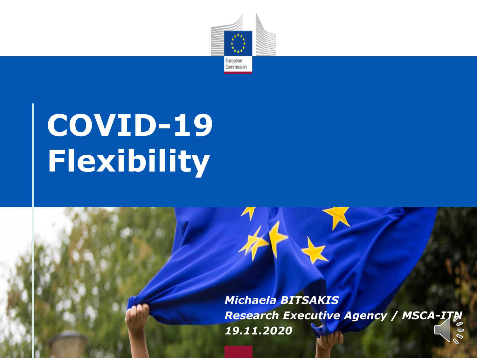

# **COVID-19 Flexibility**

*Michaela BITSAKIS Research Executive Agency / MSCA-ITN 19.11.2020*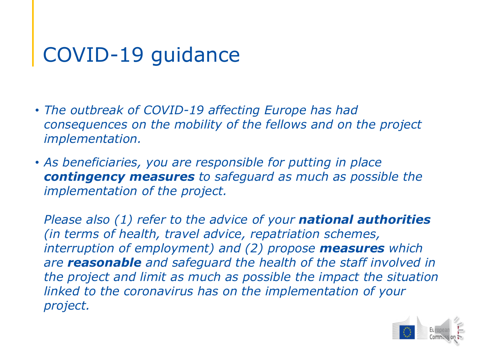- *The outbreak of COVID-19 affecting Europe has had consequences on the mobility of the fellows and on the project implementation.*
- *As beneficiaries, you are responsible for putting in place contingency measures to safeguard as much as possible the implementation of the project.*

*Please also (1) refer to the advice of your national authorities (in terms of health, travel advice, repatriation schemes, interruption of employment) and (2) propose measures which are reasonable and safeguard the health of the staff involved in the project and limit as much as possible the impact the situation linked to the coronavirus has on the implementation of your project.*

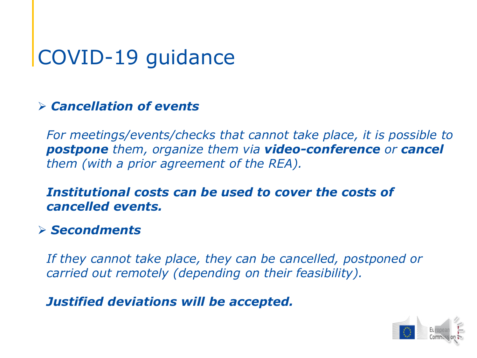#### *Cancellation of events*

*For meetings/events/checks that cannot take place, it is possible to postpone them, organize them via video-conference or cancel them (with a prior agreement of the REA).*

#### *Institutional costs can be used to cover the costs of cancelled events.*

#### *Secondments*

*If they cannot take place, they can be cancelled, postponed or carried out remotely (depending on their feasibility).* 

*Justified deviations will be accepted.* 

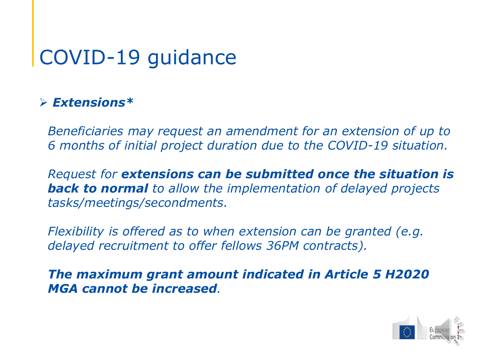#### *Extensions\**

*Beneficiaries may request an amendment for an extension of up to 6 months of initial project duration due to the COVID-19 situation.* 

*Request for extensions can be submitted once the situation is back to normal to allow the implementation of delayed projects tasks/meetings/secondments.* 

*Flexibility is offered as to when extension can be granted (e.g. delayed recruitment to offer fellows 36PM contracts).*

*The maximum grant amount indicated in Article 5 H2020 MGA cannot be increased.*

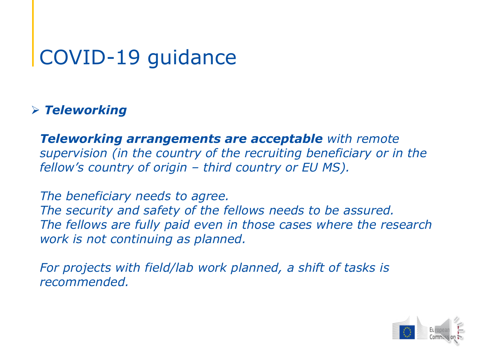#### *Teleworking*

*Teleworking arrangements are acceptable with remote supervision (in the country of the recruiting beneficiary or in the fellow's country of origin – third country or EU MS).* 

*The beneficiary needs to agree. The security and safety of the fellows needs to be assured. The fellows are fully paid even in those cases where the research work is not continuing as planned.* 

For projects with field/lab work planned, a shift of tasks is *recommended.* 

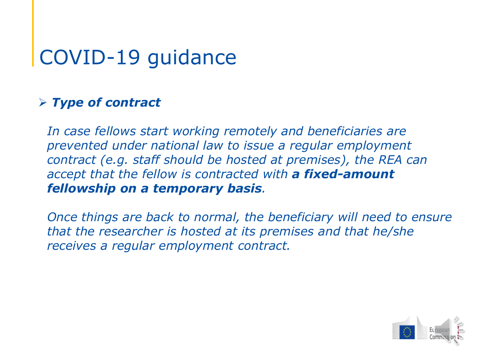#### *Type of contract*

*In case fellows start working remotely and beneficiaries are prevented under national law to issue a regular employment contract (e.g. staff should be hosted at premises), the REA can accept that the fellow is contracted with a fixed-amount fellowship on a temporary basis.* 

*Once things are back to normal, the beneficiary will need to ensure that the researcher is hosted at its premises and that he/she receives a regular employment contract.*

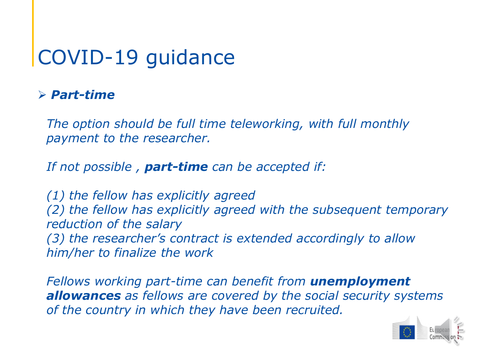#### *Part-time*

*The option should be full time teleworking, with full monthly payment to the researcher.*

*If not possible , part-time can be accepted if:* 

*(1) the fellow has explicitly agreed (2) the fellow has explicitly agreed with the subsequent temporary reduction of the salary (3) the researcher's contract is extended accordingly to allow him/her to finalize the work*

*Fellows working part-time can benefit from unemployment allowances as fellows are covered by the social security systems of the country in which they have been recruited.* 

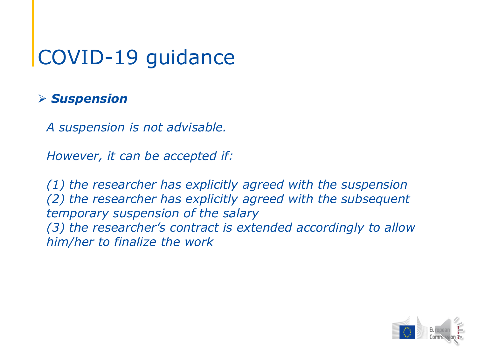#### *Suspension*

*A suspension is not advisable.* 

*However, it can be accepted if:* 

*(1) the researcher has explicitly agreed with the suspension (2) the researcher has explicitly agreed with the subsequent temporary suspension of the salary (3) the researcher's contract is extended accordingly to allow him/her to finalize the work*

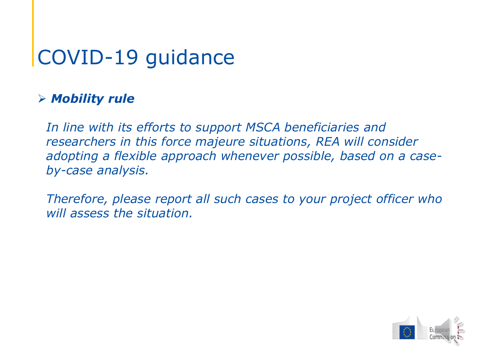#### *Mobility rule*

*In line with its efforts to support MSCA beneficiaries and researchers in this force majeure situations, REA will consider adopting a flexible approach whenever possible, based on a caseby-case analysis.*

*Therefore, please report all such cases to your project officer who will assess the situation.*

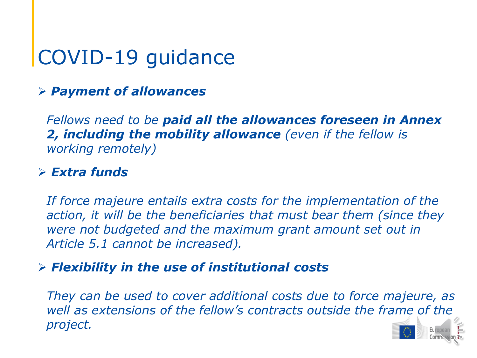#### *Payment of allowances*

*Fellows need to be paid all the allowances foreseen in Annex 2, including the mobility allowance (even if the fellow is working remotely)*

#### *Extra funds*

*If force majeure entails extra costs for the implementation of the action, it will be the beneficiaries that must bear them (since they were not budgeted and the maximum grant amount set out in Article 5.1 cannot be increased).*

#### *Flexibility in the use of institutional costs*

*They can be used to cover additional costs due to force majeure, as well as extensions of the fellow's contracts outside the frame of the project.*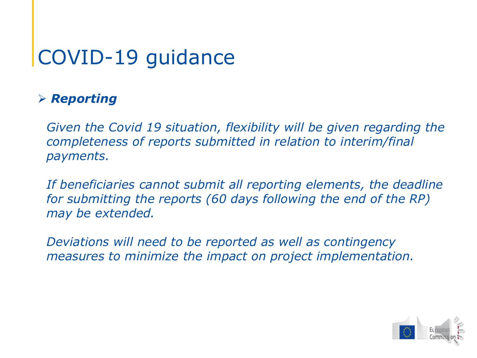### *Reporting*

*Given the Covid 19 situation, flexibility will be given regarding the completeness of reports submitted in relation to interim/final payments.* 

*If beneficiaries cannot submit all reporting elements, the deadline for submitting the reports (60 days following the end of the RP) may be extended.*

*Deviations will need to be reported as well as contingency measures to minimize the impact on project implementation.* 

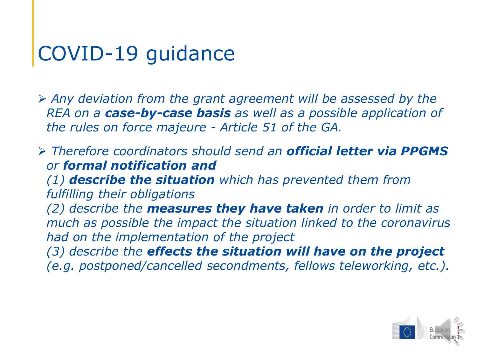*Any deviation from the grant agreement will be assessed by the REA on a case-by-case basis as well as a possible application of the rules on force majeure - Article 51 of the GA.*

 *Therefore coordinators should send an official letter via PPGMS or formal notification and (1) describe the situation which has prevented them from fulfilling their obligations (2) describe the measures they have taken in order to limit as much as possible the impact the situation linked to the coronavirus had on the implementation of the project (3) describe the effects the situation will have on the project (e.g. postponed/cancelled secondments, fellows teleworking, etc.).*

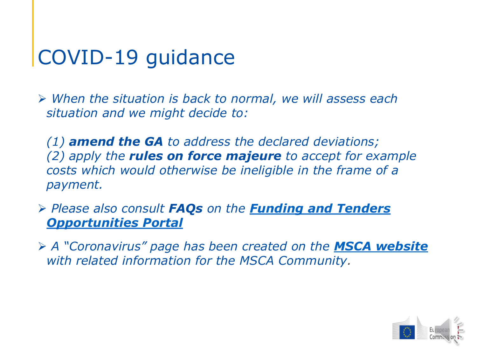*When the situation is back to normal, we will assess each situation and we might decide to:*

*(1) amend the GA to address the declared deviations; (2) apply the rules on force majeure to accept for example costs which would otherwise be ineligible in the frame of a payment.* 

 *Please also consult FAQs on the Funding and Tenders [Opportunities Portal](https://ec.europa.eu/info/funding-tenders/opportunities/portal/screen/support/faq;type=1;categories=;programme=H2020;actions=;keyword=COVID-19%20outbreak)*

 *A "Coronavirus" page has been created on the [MSCA website](https://ec.europa.eu/research/mariecurieactions/resources/corona-information-MSCA_en) with related information for the MSCA Community.*